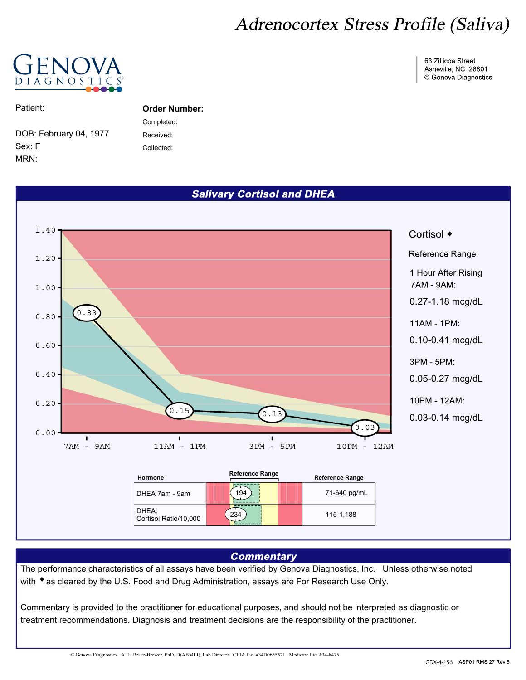# Adrenocortex Stress Profile (Saliva)



Patient:

MRN: Sex: F DOB: February 04, 1977

## **Order Number:**

Completed: Received: Collected:

## **Salivary Cortisol and DHEA**



#### **Commentary**

The performance characteristics of all assays have been verified by Genova Diagnostics, Inc. Unless otherwise noted with  $*$  as cleared by the U.S. Food and Drug Administration, assays are For Research Use Only.

Commentary is provided to the practitioner for educational purposes, and should not be interpreted as diagnostic or treatment recommendations. Diagnosis and treatment decisions are the responsibility of the practitioner.

63 Zillicoa Street Asheville, NC 28801 © Genova Diagnostics